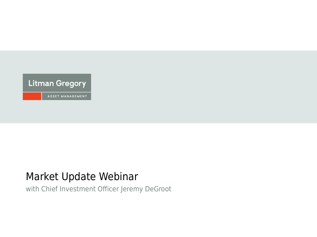

# Market Update Webinar

with Chief Investment Officer Jeremy DeGroot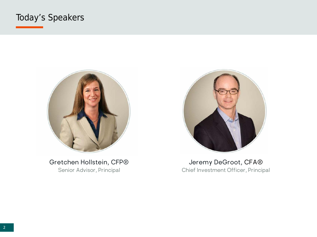# Today's Speakers



Gretchen Hollstein, CFP® Senior Advisor, Principal



Jeremy DeGroot, CFA® Chief Investment Officer, Principal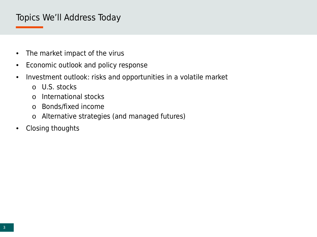## Topics We'll Address Today

- The market impact of the virus
- Economic outlook and policy response
- Investment outlook: risks and opportunities in a volatile market
	- o U.S. stocks
	- o International stocks
	- o Bonds/fixed income
	- o Alternative strategies (and managed futures)
- Closing thoughts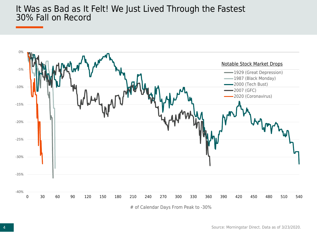#### It Was as Bad as It Felt! We Just Lived Through the Fastest 30% Fall on Record

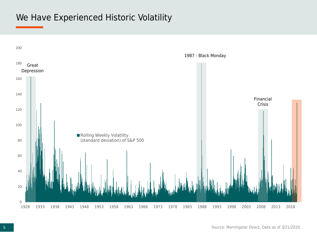### We Have Experienced Historic Volatility

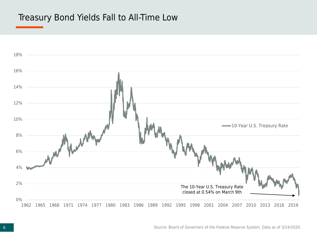### Treasury Bond Yields Fall to All-Time Low

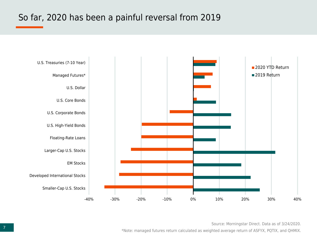# So far, 2020 has been a painful reversal from 2019



Source: Morningstar Direct. Data as of 3/24/2020.

\*Note: managed futures return calculated as weighted average return of ASFYX, PQTIX, and QHMIX.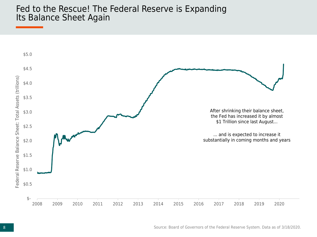#### Fed to the Rescue! The Federal Reserve is Expanding Its Balance Sheet Again

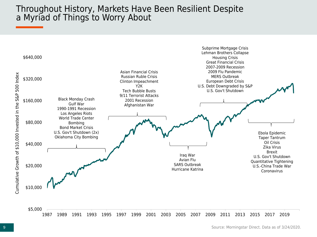#### Throughout History, Markets Have Been Resilient Despite a Myriad of Things to Worry About

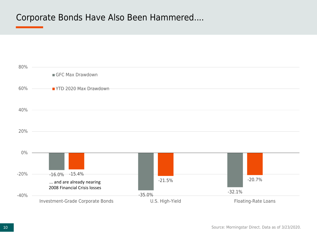### Corporate Bonds Have Also Been Hammered....

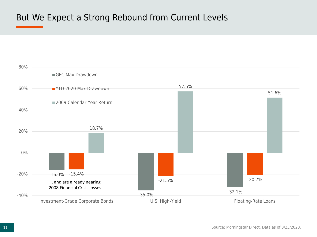# But We Expect a Strong Rebound from Current Levels



Source: Morningstar Direct. Data as of 3/23/2020.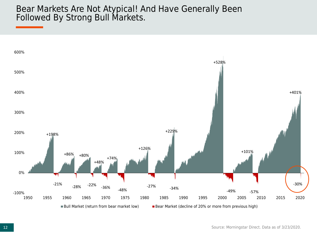#### Bear Markets Are Not Atypical! And Have Generally Been Followed By Strong Bull Markets.

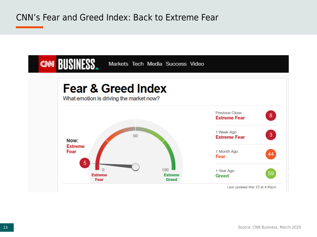### CNN's Fear and Greed Index: Back to Extreme Fear

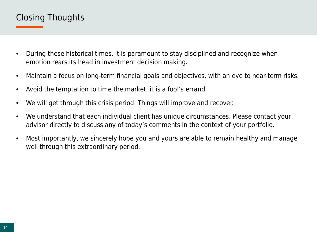# Closing Thoughts

- During these historical times, it is paramount to stay disciplined and recognize when emotion rears its head in investment decision making.
- Maintain a focus on long-term financial goals and objectives, with an eye to near-term risks.
- Avoid the temptation to time the market, it is a fool's errand.
- We will get through this crisis period. Things will improve and recover.
- We understand that each individual client has unique circumstances. Please contact your advisor directly to discuss any of today's comments in the context of your portfolio.
- Most importantly, we sincerely hope you and yours are able to remain healthy and manage well through this extraordinary period.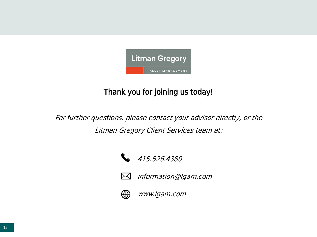

# Thank you for joining us today!

For further questions, please contact your advisor directly, or the Litman Gregory Client Services team at:





information@lgam.com



 $\bowtie$ 

www.lgam.com